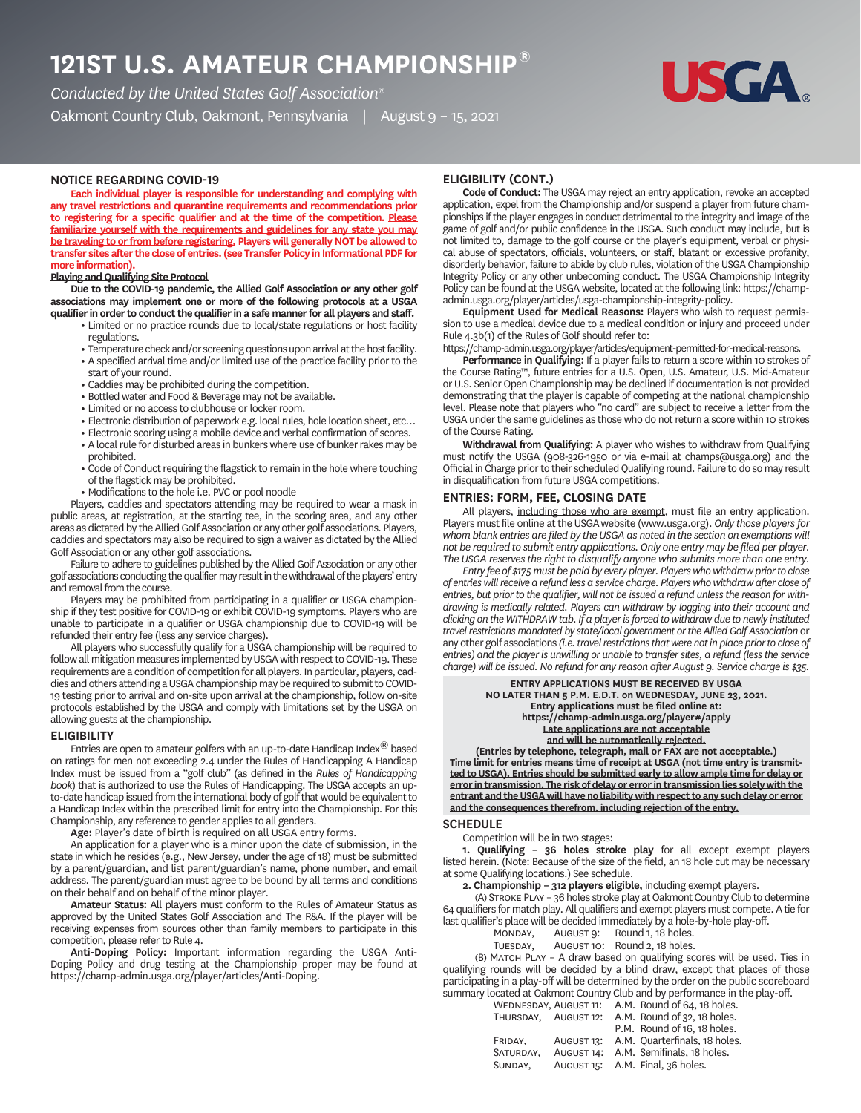# **121ST U.S. AMATEUR CHAMPIONSHIP®**

*Conducted by the United States Golf Association®* Oakmont Country Club, Oakmont, Pennsylvania | August 9 – 15, 2021



# **NOTICE REGARDING COVID**

**Each individual player is responsible for understanding and complying with any travel restrictions and quarantine requirements and recommendations prior to registering for a specific qualifier and at the time of the competition. Please familiarize yourself with the requirements and guidelines for any state you may be traveling to or from before registering. Players will generally NOT be allowed to transfer sites after the close of entries. (see Transfer Policy in Informational PDF for more information).**

# **Playing and Qualifying Site Protocol**

**Due to the COVID-19 pandemic, the Allied Golf Association or any other golf associations may implement one or more of the following protocols at a USGA qualifier in order to conduct the qualifier in a safe manner for all players and staff.**

- **•** Limited or no practice rounds due to local/state regulations or host facility regulations.
- **•** Temperature check and/or screening questions upon arrival at the host facility.
- **•** A specified arrival time and/or limited use of the practice facility prior to the start of your round.
- **•** Caddies may be prohibited during the competition.
- **•** Bottled water and Food & Beverage may not be available.
- **•** Limited or no access to clubhouse or locker room.
- 
- **•** Electronic distribution of paperwork e.g. local rules, hole location sheet, etc…
- **•** Electronic scoring using a mobile device and verbal confirmation of scores.  **•** A local rule for disturbed areas in bunkers where use of bunker rakes may be prohibited.
- **•** Code of Conduct requiring the flagstick to remain in the hole where touching of the flagstick may be prohibited.
- **•** Modifications to the hole i.e. PVC or pool noodle

Players, caddies and spectators attending may be required to wear a mask in public areas, at registration, at the starting tee, in the scoring area, and any other areas as dictated by the Allied Golf Association or any other golf associations. Players, caddies and spectators may also be required to sign a waiver as dictated by the Allied Golf Association or any other golf associations.

Failure to adhere to guidelines published by the Allied Golf Association or any other golf associations conducting the qualifier may result in the withdrawal of the players' entry and removal from the course.

Players may be prohibited from participating in a qualifier or USGA championship if they test positive for COVID-19 or exhibit COVID-19 symptoms. Players who are unable to participate in a qualifier or USGA championship due to COVID-19 will be refunded their entry fee (less any service charges).

All players who successfully qualify for a USGA championship will be required to follow all mitigation measures implemented by USGA with respect to COVID-19. These requirements are a condition of competition for all players. In particular, players, caddies and others attending a USGA championship may be required to submit to COVID-19 testing prior to arrival and on-site upon arrival at the championship, follow on-site protocols established by the USGA and comply with limitations set by the USGA on allowing guests at the championship.

# **ELIGIBILITY**

Entries are open to amateur golfers with an up-to-date Handicap Index $^{\circledR}$  based on ratings for men not exceeding 2.4 under the Rules of Handicapping A Handicap Index must be issued from a "golf club" (as defined in the *Rules of Handicapping book*) that is authorized to use the Rules of Handicapping. The USGA accepts an upto-date handicap issued from the international body of golf that would be equivalent to a Handicap Index within the prescribed limit for entry into the Championship. For this Championship, any reference to gender applies to all genders.

**Age:** Player's date of birth is required on all USGA entry forms.

An application for a player who is a minor upon the date of submission, in the state in which he resides (e.g., New Jersey, under the age of 18) must be submitted by a parent/guardian, and list parent/guardian's name, phone number, and email address. The parent/guardian must agree to be bound by all terms and conditions on their behalf and on behalf of the minor player.

**Amateur Status:** All players must conform to the Rules of Amateur Status as approved by the United States Golf Association and The R&A. If the player will be receiving expenses from sources other than family members to participate in this competition, please refer to Rule 4.

**Anti-Doping Policy:** Important information regarding the USGA Anti-Doping Policy and drug testing at the Championship proper may be found at https://champ-admin.usga.org/player/articles/Anti-Doping.

# **ELIGIBILITY CONT.**

**Code of Conduct:** The USGA may reject an entry application, revoke an accepted application, expel from the Championship and/or suspend a player from future championships if the player engages in conduct detrimental to the integrity and image of the game of golf and/or public confidence in the USGA. Such conduct may include, but is not limited to, damage to the golf course or the player's equipment, verbal or physical abuse of spectators, officials, volunteers, or staff, blatant or excessive profanity, disorderly behavior, failure to abide by club rules, violation of the USGA Championship Integrity Policy or any other unbecoming conduct. The USGA Championship Integrity Policy can be found at the USGA website, located at the following link: https://champadmin.usga.org/player/articles/usga-championship-integrity-policy.

**Equipment Used for Medical Reasons:** Players who wish to request permission to use a medical device due to a medical condition or injury and proceed under Rule 4.3b(1) of the Rules of Golf should refer to:

https://champ-admin.usga.org/player/articles/equipment-permitted-for-medical-reasons.

**Performance in Qualifying:** If a player fails to return a score within 10 strokes of the Course Rating™, future entries for a U.S. Open, U.S. Amateur, U.S. Mid-Amateur or U.S. Senior Open Championship may be declined if documentation is not provided demonstrating that the player is capable of competing at the national championship level. Please note that players who "no card" are subject to receive a letter from the USGA under the same guidelines as those who do not return a score within 10 strokes of the Course Rating.

**Withdrawal from Qualifying:** A player who wishes to withdraw from Qualifying must notify the USGA (908-326-1950 or via e-mail at champs@usga.org) and the Official in Charge prior to their scheduled Qualifying round. Failure to do so may result in disqualification from future USGA competitions.

#### **ENTRIES: FORM, FEE, CLOSING DATE**

All players, including those who are exempt, must file an entry application. Players must file online at the USGAwebsite (www.usga.org). *Only those players for whom blank entries are filed by the USGA as noted in the section on exemptions will not be required to submit entry applications. Only one entry may be filed per player. The USGA reserves the right to disqualify anyone who submits more than one entry.*

*Entry fee of \$175 must be paid by every player. Players who withdraw prior to close of entries will receive a refund less a service charge. Players who withdraw after close of entries, but prior to the qualifier, will not be issued a refund unless the reason for withdrawing is medically related. Players can withdraw by logging into their account and clicking on the WITHDRAW tab. If a player is forced to withdraw due to newly instituted travel restrictions mandated by state/local government or the Allied Golf Association* or any other golf associations *(i.e. travel restrictions that were not in place prior to close of entries) and the player is unwilling or unable to transfer sites, a refund (less the service charge) will be issued. No refund for any reason after August 9. Service charge is \$35.*

#### **ENTRY APPLICATIONS MUST BE RECEIVED BY USGA NO LATER THAN 5 P.M. E.D.T. on WEDNESDAY, JUNE 23, 2021. Entry applications must be filed online at: https://champ-admin.usga.org/player#/apply Late applications are not acceptable and will be automatically rejected.**

**(Entries by telephone, telegraph, mail or FAX are not acceptable.) Time limit for entries means time of receipt at USGA (not time entry is transmitted to USGA). Entries should be submitted early to allow ample time for delay or error in transmission. The risk of delay or error in transmission lies solely with the entrant and the USGA will have no liability with respect to any such delay or error and the consequences therefrom, including rejection of the entry.**

#### **SCHEDULE**

Competition will be in two stages:

**1. Qualifying – 36 holes stroke play** for all except exempt players listed herein. (Note: Because of the size of the field, an 18 hole cut may be necessary at some Qualifying locations.) See schedule.

**2. Championship – 312 players eligible,** including exempt players.

(A) STROKE PLAY - 36 holes stroke play at Oakmont Country Club to determine 64 qualifiers for match play. All qualifiers and exempt players must compete. A tie for last qualifier's place will be decided immediately by a hole-by-hole play-off.

Round 1, 18 holes.

| AUGUST 10:<br>TUESDAY, |  |  | Round 2, 18 holes. |
|------------------------|--|--|--------------------|
|------------------------|--|--|--------------------|

(B) MATCH PLAY - A draw based on qualifying scores will be used. Ties in qualifying rounds will be decided by a blind draw, except that places of those participating in a play-off will be determined by the order on the public scoreboard summary located at Oakmont Country Club and by performance in the play-off.

|           |            | Surfillary tocated at Oakholit Couliti y Club and by Denomiance in the |  |
|-----------|------------|------------------------------------------------------------------------|--|
|           |            | WEDNESDAY, AUGUST 11: A.M. Round of 64, 18 holes.                      |  |
|           |            | THURSDAY, AUGUST 12: A.M. Round of 32, 18 holes.                       |  |
|           |            | P.M. Round of 16, 18 holes.                                            |  |
| FRIDAY.   | AUGUST 13: | A.M. Quarterfinals, 18 holes.                                          |  |
| SATURDAY. | AUGUST 14: | A.M. Semifinals, 18 holes.                                             |  |
| SUNDAY.   |            | AUGUST 15: A.M. Final, 36 holes.                                       |  |
|           |            |                                                                        |  |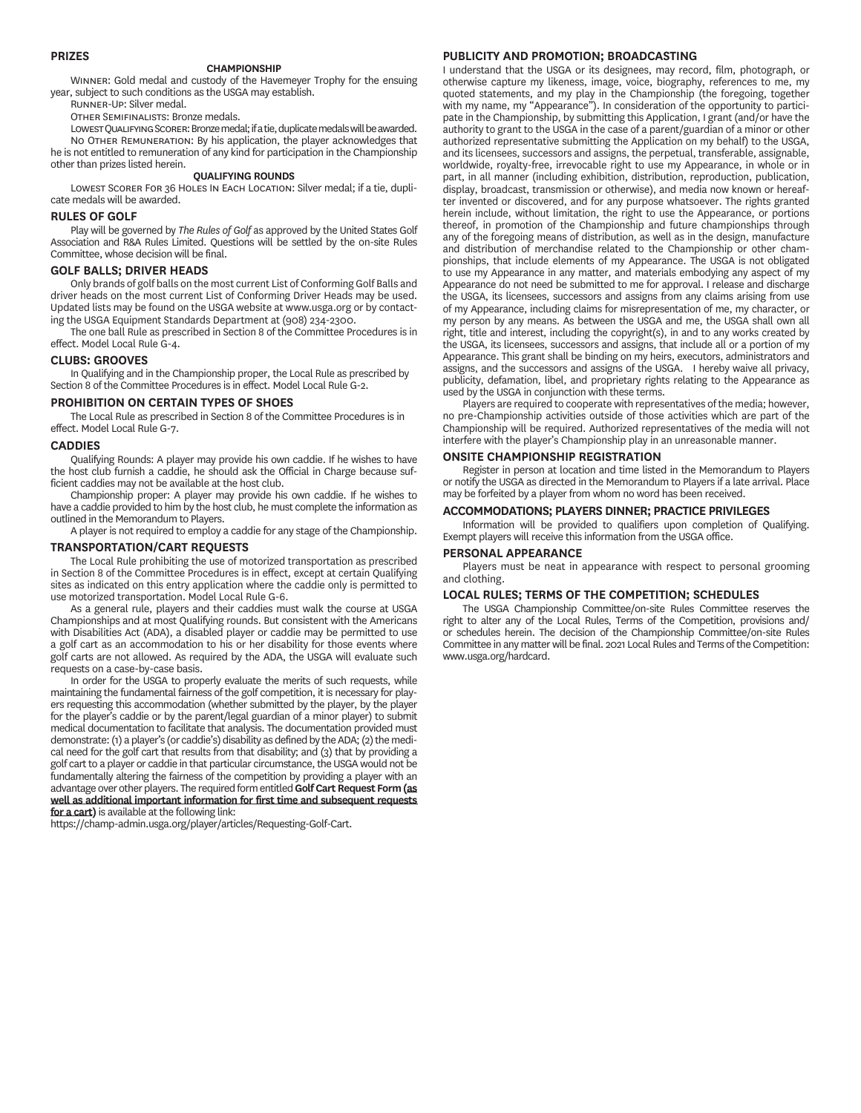# **PRIZES**

#### **CHAMPIONSHIP**

WINNER: Gold medal and custody of the Havemeyer Trophy for the ensuing year, subject to such conditions as the USGA may establish.

RUNNER-UP: Silver medal.

OTHER SEMIFINALISTS: Bronze medals.

LOWEST QUALIFYING SCORER: Bronze medal; if a tie, duplicate medals will be awarded. NO OTHER REMUNERATION: By his application, the player acknowledges that he is not entitled to remuneration of any kind for participation in the Championship other than prizes listed herein.

### **QUALIFYING ROUNDS**

LOWEST SCORER FOR 36 HOLES IN EACH LOCATION: Silver medal; if a tie, duplicate medals will be awarded.

#### **RULES OF GOLF**

Play will be governed by *The Rules of Golf* as approved by the United States Golf Association and R&A Rules Limited. Questions will be settled by the on-site Rules Committee, whose decision will be final.

# **GOLF BALLS; DRIVER HEADS**

Only brands of golf balls on the most current List of Conforming Golf Balls and driver heads on the most current List of Conforming Driver Heads may be used. Updated lists may be found on the USGA website at www.usga.org or by contacting the USGA Equipment Standards Department at (908) 234-2300.

The one ball Rule as prescribed in Section 8 of the Committee Procedures is in effect. Model Local Rule G-4.

#### **CLUBS: GROOVES**

In Qualifying and in the Championship proper, the Local Rule as prescribed by Section 8 of the Committee Procedures is in effect. Model Local Rule G-2.

### **PROHIBITION ON CERTAIN TYPES OF SHOES**

The Local Rule as prescribed in Section 8 of the Committee Procedures is in effect. Model Local Rule G-7.

#### **CADDIES**

Qualifying Rounds: A player may provide his own caddie. If he wishes to have the host club furnish a caddie, he should ask the Official in Charge because sufficient caddies may not be available at the host club.

Championship proper: A player may provide his own caddie. If he wishes to have a caddie provided to him by the host club, he must complete the information as outlined in the Memorandum to Players.

A player is not required to employ a caddie for any stage of the Championship.

# **TRANSPORTATIONCART REQUESTS**

The Local Rule prohibiting the use of motorized transportation as prescribed in Section 8 of the Committee Procedures is in effect, except at certain Qualifying sites as indicated on this entry application where the caddie only is permitted to use motorized transportation. Model Local Rule G-6.

As a general rule, players and their caddies must walk the course at USGA Championships and at most Qualifying rounds. But consistent with the Americans with Disabilities Act (ADA), a disabled player or caddie may be permitted to use a golf cart as an accommodation to his or her disability for those events where golf carts are not allowed. As required by the ADA, the USGA will evaluate such requests on a case-by-case basis.

In order for the USGA to properly evaluate the merits of such requests, while maintaining the fundamental fairness of the golf competition, it is necessary for players requesting this accommodation (whether submitted by the player, by the player for the player's caddie or by the parent/legal guardian of a minor player) to submit medical documentation to facilitate that analysis. The documentation provided must demonstrate: (1) a player's (or caddie's) disability as defined by the ADA; (2) the medical need for the golf cart that results from that disability; and (3) that by providing a golf cart to a player or caddie in that particular circumstance, the USGA would not be fundamentally altering the fairness of the competition by providing a player with an advantage over other players. The required form entitled **Golf Cart Request Form (as well as additional important information for first time and subsequent requests for a cart)** is available at the following link:

https://champ-admin.usga.org/player/articles/Requesting-Golf-Cart.

# **PUBLICITY AND PROMOTION; BROADCASTING**

I understand that the USGA or its designees, may record, film, photograph, or otherwise capture my likeness, image, voice, biography, references to me, my quoted statements, and my play in the Championship (the foregoing, together with my name, my "Appearance"). In consideration of the opportunity to participate in the Championship, by submitting this Application, I grant (and/or have the authority to grant to the USGA in the case of a parent/guardian of a minor or other authorized representative submitting the Application on my behalf) to the USGA, and its licensees, successors and assigns, the perpetual, transferable, assignable, worldwide, royalty-free, irrevocable right to use my Appearance, in whole or in part, in all manner (including exhibition, distribution, reproduction, publication, display, broadcast, transmission or otherwise), and media now known or hereafter invented or discovered, and for any purpose whatsoever. The rights granted herein include, without limitation, the right to use the Appearance, or portions thereof, in promotion of the Championship and future championships through any of the foregoing means of distribution, as well as in the design, manufacture and distribution of merchandise related to the Championship or other championships, that include elements of my Appearance. The USGA is not obligated to use my Appearance in any matter, and materials embodying any aspect of my Appearance do not need be submitted to me for approval. I release and discharge the USGA, its licensees, successors and assigns from any claims arising from use of my Appearance, including claims for misrepresentation of me, my character, or my person by any means. As between the USGA and me, the USGA shall own all right, title and interest, including the copyright(s), in and to any works created by the USGA, its licensees, successors and assigns, that include all or a portion of my Appearance. This grant shall be binding on my heirs, executors, administrators and assigns, and the successors and assigns of the USGA. I hereby waive all privacy, publicity, defamation, libel, and proprietary rights relating to the Appearance as used by the USGA in conjunction with these terms.

Players are required to cooperate with representatives of the media; however, no pre-Championship activities outside of those activities which are part of the Championship will be required. Authorized representatives of the media will not interfere with the player's Championship play in an unreasonable manner.

### **ONSITE CHAMPIONSHIP REGISTRATION**

Register in person at location and time listed in the Memorandum to Players or notify the USGA as directed in the Memorandum to Players if a late arrival. Place may be forfeited by a player from whom no word has been received.

# **MMODATIONS; PLAYERS DINNER; PRACTICE PRIVILEGES**

Information will be provided to qualifiers upon completion of Qualifying. Exempt players will receive this information from the USGA office.

#### **PERSONAL APPEARANCE**

Players must be neat in appearance with respect to personal grooming and clothing.

# **LOCAL RULES; TERMS OF THE COMPETITION; SCHEDULES**

The USGA Championship Committee/on-site Rules Committee reserves the right to alter any of the Local Rules, Terms of the Competition, provisions and/ or schedules herein. The decision of the Championship Committee/on-site Rules Committee in any matter will be final. 2021 Local Rules and Terms of the Competition: www.usga.org/hardcard.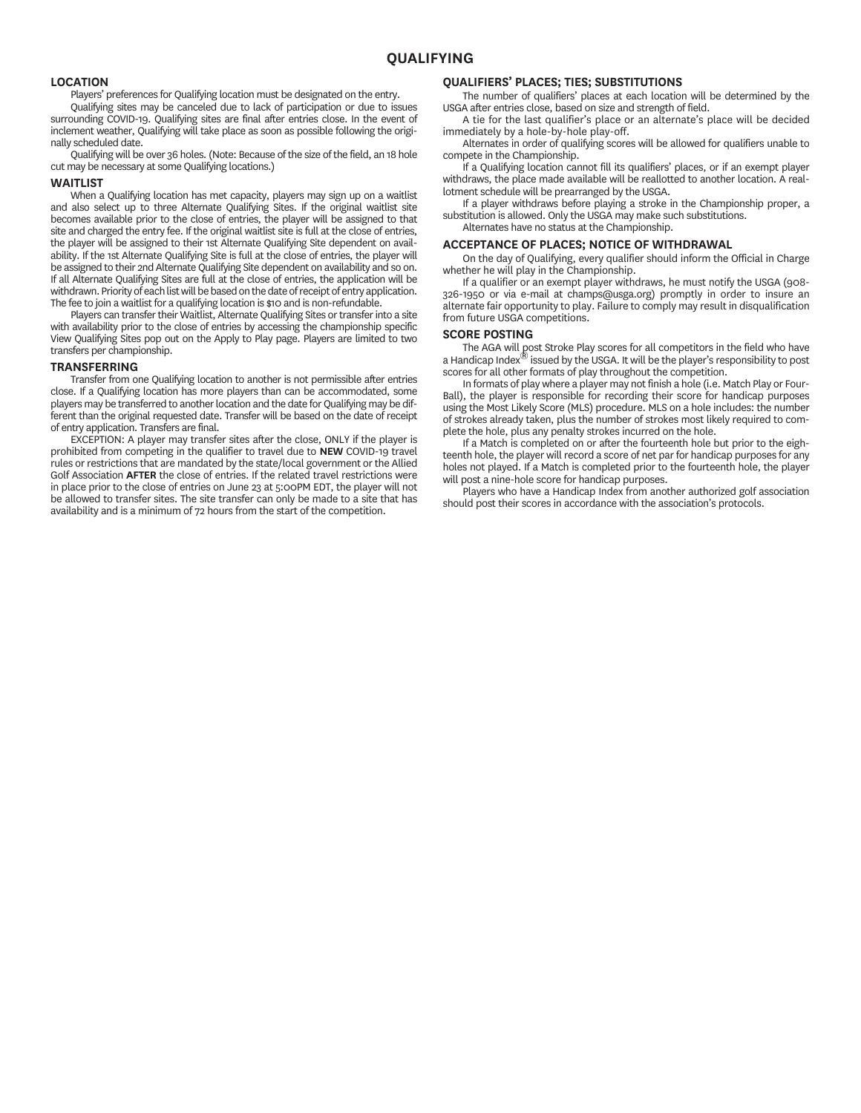# **LOCATION**

Players' preferences for Qualifying location must be designated on the entry.

Qualifying sites may be canceled due to lack of participation or due to issues surrounding COVID-19. Qualifying sites are final after entries close. In the event of inclement weather, Qualifying will take place as soon as possible following the originally scheduled date.

Qualifying will be over 36 holes. (Note: Because of the size of the field, an 18 hole cut may be necessary at some Qualifying locations.)

# **WAITLIST**

When a Qualifying location has met capacity, players may sign up on a waitlist and also select up to three Alternate Qualifying Sites. If the original waitlist site becomes available prior to the close of entries, the player will be assigned to that site and charged the entry fee. If the original waitlist site is full at the close of entries, the player will be assigned to their 1st Alternate Qualifying Site dependent on availability. If the 1st Alternate Qualifying Site is full at the close of entries, the player will be assigned to their 2nd Alternate Qualifying Site dependent on availability and so on. If all Alternate Qualifying Sites are full at the close of entries, the application will be withdrawn. Priority of each list will be based on the date of receipt of entry application. The fee to join a waitlist for a qualifying location is \$10 and is non-refundable.

Players can transfer their Waitlist, Alternate Qualifying Sites or transfer into a site with availability prior to the close of entries by accessing the championship specific View Qualifying Sites pop out on the Apply to Play page. Players are limited to two transfers per championship.

#### **TRANSFERRING**

Transfer from one Qualifying location to another is not permissible after entries close. If a Qualifying location has more players than can be accommodated, some players may be transferred to another location and the date for Qualifying may be different than the original requested date. Transfer will be based on the date of receipt of entry application. Transfers are final.

EXCEPTION: A player may transfer sites after the close, ONLY if the player is prohibited from competing in the qualifier to travel due to **NEW** COVID-19 travel rules or restrictions that are mandated by the state/local government or the Allied Golf Association **AFTER** the close of entries. If the related travel restrictions were in place prior to the close of entries on June 23 at 5:00PM EDT, the player will not be allowed to transfer sites. The site transfer can only be made to a site that has availability and is a minimum of 72 hours from the start of the competition.

#### **QUALIFIERS' PLACES; TIES; SUBSTITUTIONS**

The number of qualifiers' places at each location will be determined by the USGA after entries close, based on size and strength of field.

A tie for the last qualifier's place or an alternate's place will be decided immediately by a hole-by-hole play-off.

Alternates in order of qualifying scores will be allowed for qualifiers unable to compete in the Championship.

If a Qualifying location cannot fill its qualifiers' places, or if an exempt player withdraws, the place made available will be reallotted to another location. A reallotment schedule will be prearranged by the USGA.

If a player withdraws before playing a stroke in the Championship proper, a substitution is allowed. Only the USGA may make such substitutions. Alternates have no status at the Championship.

# **ACCEPTANCE OF PLACES; NOTICE OF WITHDRAWAL**

On the day of Qualifying, every qualifier should inform the Official in Charge whether he will play in the Championship.

If a qualifier or an exempt player withdraws, he must notify the USGA (908- 326-1950 or via e-mail at champs@usga.org) promptly in order to insure an alternate fair opportunity to play. Failure to comply may result in disqualification from future USGA competitions.

#### **SCORE POSTING**

The AGA will post Stroke Play scores for all competitors in the field who have<br>a Handicap Index® issued by the USGA. It will be the player's responsibility to post scores for all other formats of play throughout the competition.

In formats of play where a player may not finish a hole (i.e. Match Play or Four-Ball), the player is responsible for recording their score for handicap purposes using the Most Likely Score (MLS) procedure. MLS on a hole includes: the number of strokes already taken, plus the number of strokes most likely required to complete the hole, plus any penalty strokes incurred on the hole.

If a Match is completed on or after the fourteenth hole but prior to the eighteenth hole, the player will record a score of net par for handicap purposes for any holes not played. If a Match is completed prior to the fourteenth hole, the player will post a nine-hole score for handicap purposes.

Players who have a Handicap Index from another authorized golf association should post their scores in accordance with the association's protocols.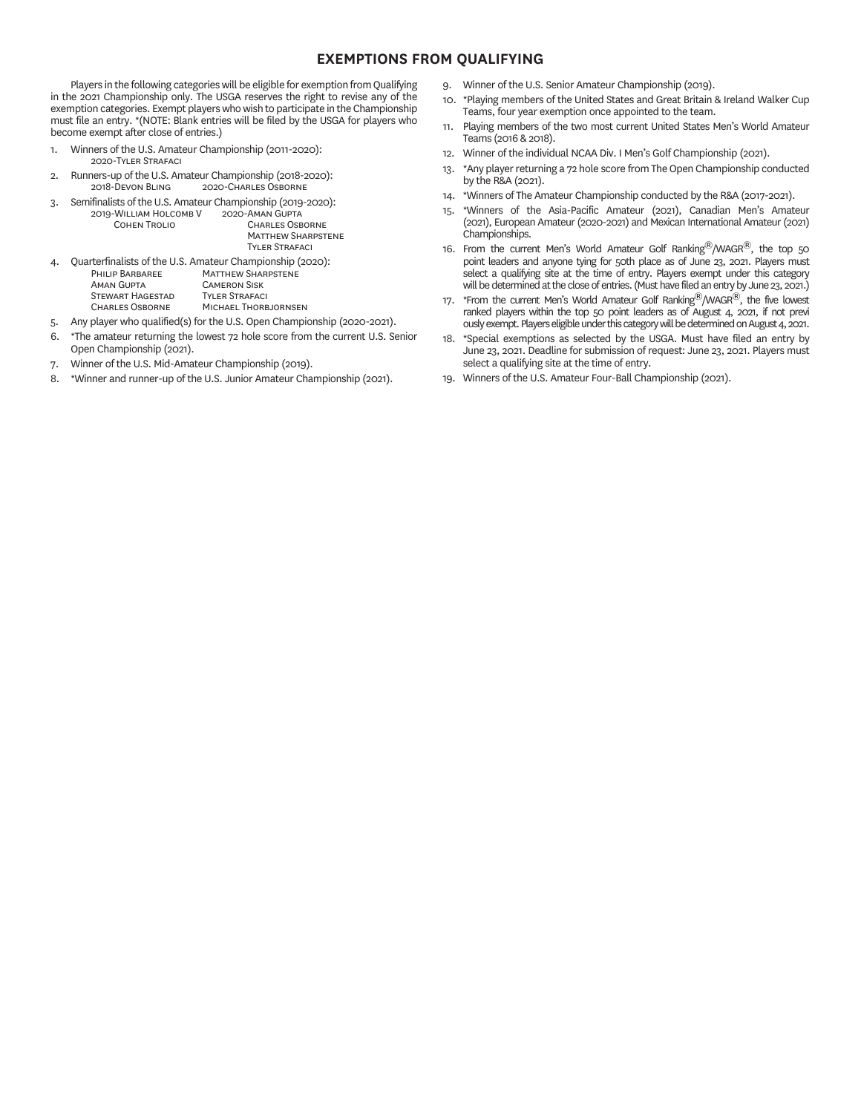# **EXEMPTIONS FROM QUALIFYING**

Players in the following categories will be eligible for exemption from Qualifying in the 2021 Championship only. The USGA reserves the right to revise any of the exemption categories. Exempt players who wish to participate in the Championship must file an entry. \*(NOTE: Blank entries will be filed by the USGA for players who become exempt after close of entries.)

- 1. Winners of the U.S. Amateur Championship (2011-2020): 2020-TVLER STRAEACL
- 2. Runners-up of the U.S. Amateur Championship (2018-2020):<br>2018-DEVON BLING 2020-CHARLES OSBORNE 2020-CHARLES OSBORNE
- 3. Semifinalists of the U.S. Amateur Championship (2019-2020):<br>2019-WILLIAM HOLCOMB V 2020-AMAN GUPTA 2019-WILLIAM HOLCOMB V<br>COHEN TROLIO CHARLES OSBORNE **MATTHEW SHARPSTENE**

|    |                         | <b>TYLER STRAFACI</b>                                     |
|----|-------------------------|-----------------------------------------------------------|
| 4. |                         | Quarterfinalists of the U.S. Amateur Championship (2020): |
|    | PHILIP BARBAREE         | <b>MATTHEW SHARPSTENE</b>                                 |
|    | <b>AMAN GUPTA</b>       | <b>CAMERON SISK</b>                                       |
|    | <b>STEWART HAGESTAD</b> | <b>TYLER STRAFACI</b>                                     |
|    | <b>CHARLES OSBORNE</b>  | MICHAEL THORBJORNSEN                                      |
|    |                         |                                                           |

- 5. Any player who qualified(s) for the U.S. Open Championship (2020-2021).
- 6. \*The amateur returning the lowest 72 hole score from the current U.S. Senior Open Championship (2021).
- 7. Winner of the U.S. Mid-Amateur Championship (2019).
- 8. \*Winner and runner-up of the U.S. Junior Amateur Championship (2021).
- 9. Winner of the U.S. Senior Amateur Championship (2019).
- 10. \*Playing members of the United States and Great Britain & Ireland Walker Cup Teams, four year exemption once appointed to the team.
- 11. Playing members of the two most current United States Men's World Amateur Teams (2016 & 2018).
- 12. Winner of the individual NCAA Div. I Men's Golf Championship (2021).
- 13. \*Any player returning a 72 hole score from The Open Championship conducted by the R&A (2021).
- 14. \*Winners of The Amateur Championship conducted by the R&A (2017-2021).
- 15. \*Winners of the Asia-Pacific Amateur (2021), Canadian Men's Amateur (2021), European Amateur (2020-2021) and Mexican International Amateur (2021) Championships.
- 16. From the current Men's World Amateur Golf Ranking $^{\circledR}/$ WAGR $^{\circledR}$ , the top 50 point leaders and anyone tying for 50th place as of June 23, 2021. Players must select a qualifying site at the time of entry. Players exempt under this category will be determined at the close of entries. (Must have filed an entry by June 23, 2021.)
- 17. \*From the current Men's World Amateur Golf Ranking $^{\circledR}$ /WAGR $^{\circledR}$ , the five lowest ranked players within the top 50 point leaders as of August 4, 2021, if not previ ously exempt. Players eligible under this category will be determined on August 4, 2021.
- 18. \*Special exemptions as selected by the USGA. Must have filed an entry by June 23, 2021. Deadline for submission of request: June 23, 2021. Players must select a qualifying site at the time of entry.
- 19. Winners of the U.S. Amateur Four-Ball Championship (2021).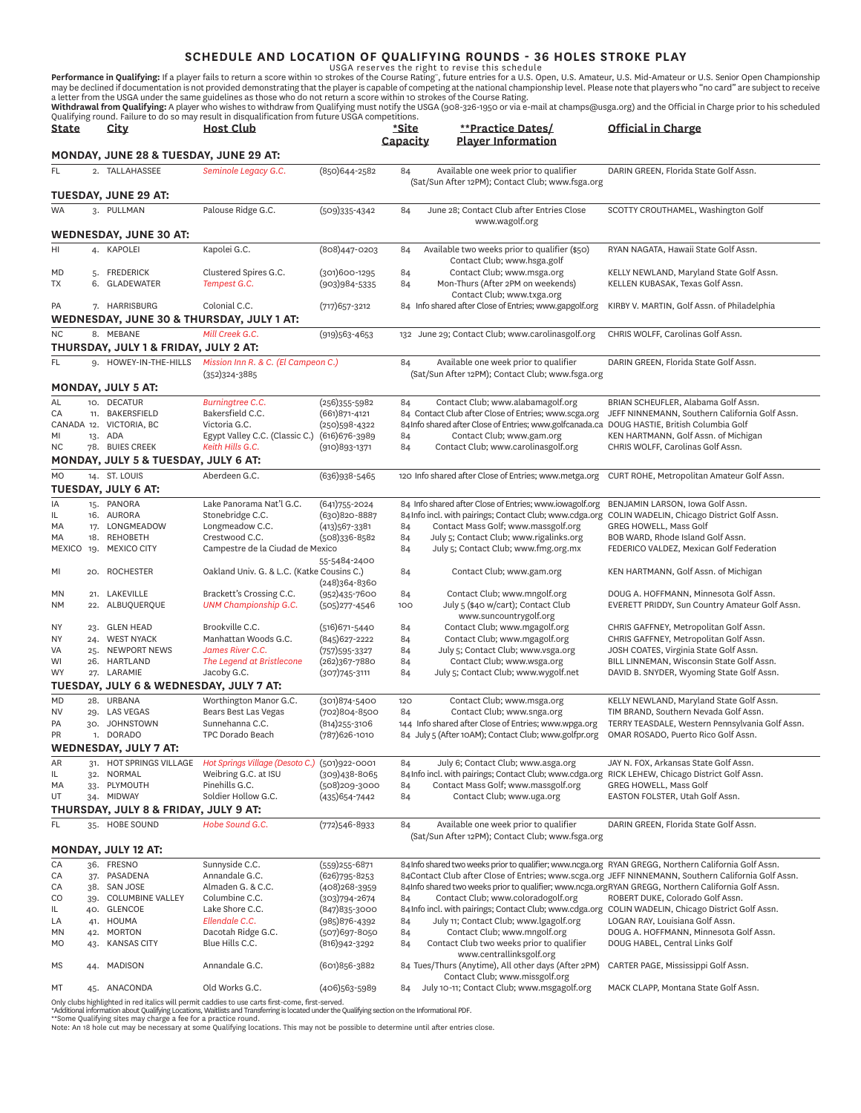**SCHEDULE AND LOCATION OF QUALIFYING ROUNDS - 36 HOLES STROKE PLAY**<br>USGA reserves the right to revise this schedule<br>may be declined if documentation is not provided demonstrating that the player is capable of competing at

**Withdrawal from Qualifying:** A player who wishes to withdraw from Qualifying must notify the USGA (908-326-1950 or via e-mail at champs@usga.org) and the Official in Charge prior to his scheduled<br>Qualifying round. Failure

| State        |            | City                                               | <b>Host Club</b>                                                                                |                                       | *Site<br>Capacity | **Practice Dates/<br><b>Player Information</b>                                                                                           | Official in Charge                                                                                 |
|--------------|------------|----------------------------------------------------|-------------------------------------------------------------------------------------------------|---------------------------------------|-------------------|------------------------------------------------------------------------------------------------------------------------------------------|----------------------------------------------------------------------------------------------------|
|              |            | MONDAY, JUNE 28 & TUESDAY, JUNE 29 AT:             |                                                                                                 |                                       |                   |                                                                                                                                          |                                                                                                    |
| FL.          |            | 2. TALLAHASSEE                                     | Seminole Legacy G.C.                                                                            | (850)644-2582                         | 84                | Available one week prior to qualifier                                                                                                    | DARIN GREEN, Florida State Golf Assn.                                                              |
|              |            |                                                    |                                                                                                 |                                       |                   | (Sat/Sun After 12PM); Contact Club; www.fsga.org                                                                                         |                                                                                                    |
|              |            | TUESDAY, JUNE 29 AT:                               |                                                                                                 |                                       |                   |                                                                                                                                          |                                                                                                    |
| <b>WA</b>    |            | 3. PULLMAN                                         | Palouse Ridge G.C.                                                                              | $(509)335 - 4342$                     | 84                | June 28; Contact Club after Entries Close<br>www.wagolf.org                                                                              | SCOTTY CROUTHAMEL, Washington Golf                                                                 |
|              |            | WEDNESDAY, JUNE 30 AT:                             |                                                                                                 |                                       |                   |                                                                                                                                          |                                                                                                    |
| HI           |            | 4. KAPOLEI                                         | Kapolei G.C.                                                                                    | (808)447-0203                         | 84                | Available two weeks prior to qualifier (\$50)<br>Contact Club; www.hsga.golf                                                             | RYAN NAGATA, Hawaii State Golf Assn.                                                               |
| MD           |            | 5. FREDERICK                                       | Clustered Spires G.C.                                                                           | $(301)600 - 1295$                     | 84                | Contact Club; www.msga.org                                                                                                               | KELLY NEWLAND, Maryland State Golf Assn.                                                           |
| ТX           |            | 6. GLADEWATER                                      | Tempest G.C.                                                                                    | $(903)984 - 5335$                     | 84                | Mon-Thurs (After 2PM on weekends)<br>Contact Club; www.txga.org                                                                          | KELLEN KUBASAK, Texas Golf Assn.                                                                   |
| PA           |            | 7. HARRISBURG                                      | Colonial C.C.                                                                                   | $(717)$ 657-3212                      |                   | 84 Info shared after Close of Entries; www.gapgolf.org                                                                                   | KIRBY V. MARTIN, Golf Assn. of Philadelphia                                                        |
|              |            |                                                    | WEDNESDAY, JUNE 30 & THURSDAY, JULY 1 AT:                                                       |                                       |                   |                                                                                                                                          |                                                                                                    |
| NC.          |            | 8. MEBANE<br>THURSDAY, JULY 1 & FRIDAY, JULY 2 AT: | Mill Creek G.C.                                                                                 | $(919)563 - 4653$                     |                   | 132 June 29; Contact Club; www.carolinasgolf.org                                                                                         | CHRIS WOLFF, Carolinas Golf Assn.                                                                  |
| FL.          |            | 9. HOWEY-IN-THE-HILLS                              | Mission Inn R. & C. (El Campeon C.)                                                             |                                       | 84                | Available one week prior to qualifier                                                                                                    | DARIN GREEN, Florida State Golf Assn.                                                              |
|              |            |                                                    | $(352)324-3885$                                                                                 |                                       |                   | (Sat/Sun After 12PM); Contact Club; www.fsga.org                                                                                         |                                                                                                    |
|              |            | <b>MONDAY, JULY 5 AT:</b>                          |                                                                                                 |                                       |                   |                                                                                                                                          |                                                                                                    |
| AL           |            | 10. DECATUR                                        | <b>Burningtree C.C.</b>                                                                         | $(256)355 - 5982$                     | 84                | Contact Club; www.alabamagolf.org                                                                                                        | BRIAN SCHEUFLER, Alabama Golf Assn.                                                                |
| CA           |            | 11. BAKERSFIELD                                    | Bakersfield C.C.                                                                                | $(661)871 - 4121$                     |                   | 84 Contact Club after Close of Entries; www.scga.org                                                                                     | JEFF NINNEMANN, Southern California Golf Assn.                                                     |
|              |            | CANADA 12. VICTORIA, BC                            | Victoria G.C.                                                                                   | (250)598-4322                         |                   | 84Info shared after Close of Entries; www.golfcanada.ca                                                                                  | DOUG HASTIE, British Columbia Golf                                                                 |
| MI           |            | 13. ADA                                            | Egypt Valley C.C. (Classic C.)                                                                  | (616) 676-3989                        | 84                | Contact Club; www.gam.org                                                                                                                | KEN HARTMANN, Golf Assn. of Michigan                                                               |
| NC           |            | 78. BUIES CREEK                                    | Keith Hills G.C.                                                                                | $(910)893 - 1371$                     | 84                | Contact Club; www.carolinasgolf.org                                                                                                      | CHRIS WOLFF, Carolinas Golf Assn.                                                                  |
|              |            | MONDAY, JULY 5 & TUESDAY, JULY 6 AT:               |                                                                                                 |                                       |                   |                                                                                                                                          |                                                                                                    |
| <b>MO</b>    |            | 14. ST. LOUIS                                      | Aberdeen G.C.                                                                                   | (636)938-5465                         |                   | 120 Info shared after Close of Entries; www.metga.org                                                                                    | CURT ROHE, Metropolitan Amateur Golf Assn.                                                         |
|              |            | <b>TUESDAY, JULY 6 AT:</b>                         |                                                                                                 |                                       |                   |                                                                                                                                          |                                                                                                    |
| IA           |            | 15. PANORA                                         | Lake Panorama Nat'l G.C.                                                                        | $(641)755 - 2024$                     |                   | 84 Info shared after Close of Entries; www.iowagolf.org                                                                                  | BENJAMIN LARSON, Iowa Golf Assn.                                                                   |
| IL.          |            | 16. AURORA                                         | Stonebridge C.C.                                                                                | (630)820-8887                         |                   | 84 Info incl. with pairings; Contact Club; www.cdga.org                                                                                  | COLIN WADELIN, Chicago District Golf Assn.                                                         |
| МA           |            | 17. LONGMEADOW                                     | Longmeadow C.C.                                                                                 | $(413)567 - 3381$                     | 84                | Contact Mass Golf; www.massgolf.org                                                                                                      | GREG HOWELL, Mass Golf                                                                             |
| МA<br>MEXICO |            | 18. REHOBETH<br>19. MEXICO CITY                    | Crestwood C.C.<br>Campestre de la Ciudad de Mexico                                              | (508)336-8582                         | 84<br>84          | July 5; Contact Club; www.rigalinks.org<br>July 5; Contact Club; www.fmg.org.mx                                                          | BOB WARD, Rhode Island Golf Assn.<br>FEDERICO VALDEZ, Mexican Golf Federation                      |
|              |            |                                                    |                                                                                                 | 55-5484-2400                          |                   |                                                                                                                                          |                                                                                                    |
| ΜI           |            | 20. ROCHESTER                                      | Oakland Univ. G. & L.C. (Katke Cousins C.)                                                      | $(248)364 - 8360$                     | 84                | Contact Club; www.gam.org                                                                                                                | KEN HARTMANN, Golf Assn. of Michigan                                                               |
| MN           |            | 21. LAKEVILLE                                      | Brackett's Crossing C.C.                                                                        | $(952)435 - 7600$                     | 84                | Contact Club; www.mngolf.org                                                                                                             | DOUG A. HOFFMANN, Minnesota Golf Assn.                                                             |
| NΜ           |            | 22. ALBUQUERQUE                                    | UNM Championship G.C.                                                                           | $(505)277 - 4546$                     | 100               | July 5 (\$40 w/cart); Contact Club<br>www.suncountrygolf.org                                                                             | EVERETT PRIDDY, Sun Country Amateur Golf Assn.                                                     |
| <b>NY</b>    |            | 23. GLEN HEAD                                      | Brookville C.C.                                                                                 | $(516)671 - 5440$                     | 84                | Contact Club; www.mgagolf.org                                                                                                            | CHRIS GAFFNEY, Metropolitan Golf Assn.                                                             |
| <b>NY</b>    |            | 24. WEST NYACK                                     | Manhattan Woods G.C.                                                                            | (845) 627-2222                        | 84                | Contact Club; www.mgagolf.org                                                                                                            | CHRIS GAFFNEY, Metropolitan Golf Assn.                                                             |
| VA           |            | 25. NEWPORT NEWS                                   | James River C.C.                                                                                | $(757)595 - 3327$                     | 84                | July 5; Contact Club; www.vsga.org                                                                                                       | JOSH COATES, Virginia State Golf Assn.                                                             |
| WI<br>WY     |            | 26. HARTLAND<br>27. LARAMIE                        | The Legend at Bristlecone                                                                       | (262)367-7880                         | 84                | Contact Club; www.wsga.org<br>July 5; Contact Club; www.wygolf.net                                                                       | BILL LINNEMAN, Wisconsin State Golf Assn.                                                          |
|              |            | TUESDAY, JULY 6 & WEDNESDAY, JULY 7 AT:            | Jacoby G.C.                                                                                     | $(307)745 - 3111$                     | 84                |                                                                                                                                          | DAVID B. SNYDER, Wyoming State Golf Assn.                                                          |
|              |            |                                                    |                                                                                                 |                                       |                   |                                                                                                                                          |                                                                                                    |
| MD<br>NV     |            | 28. URBANA<br>29. LAS VEGAS                        | Worthington Manor G.C.<br>Bears Best Las Vegas                                                  | $(301)874 - 5400$<br>(702)804-8500    | 120<br>84         | Contact Club; www.msga.org<br>Contact Club; www.snga.org                                                                                 | KELLY NEWLAND, Maryland State Golf Assn.<br>TIM BRAND, Southern Nevada Golf Assn.                  |
| PA           |            | 30. JOHNSTOWN                                      | Sunnehanna C.C.                                                                                 | (814) 255-3106                        |                   | 144 Info shared after Close of Entries; www.wpga.org                                                                                     | TERRY TEASDALE, Western Pennsylvania Golf Assn.                                                    |
| PR           |            | 1. DORADO                                          | TPC Dorado Beach                                                                                | (787) 626-1010                        |                   | 84 July 5 (After 10AM); Contact Club; www.golfpr.org                                                                                     | OMAR ROSADO, Puerto Rico Golf Assn.                                                                |
|              |            | <b>WEDNESDAY, JULY 7 AT:</b>                       |                                                                                                 |                                       |                   |                                                                                                                                          |                                                                                                    |
| AR           |            | 31. HOT SPRINGS VILLAGE                            | Hot Springs Village (Desoto C.) (501)922-0001                                                   |                                       | 84                | July 6; Contact Club; www.asga.org                                                                                                       | JAY N. FOX, Arkansas State Golf Assn.                                                              |
| IL.          |            | 32. NORMAL                                         | Weibring G.C. at ISU                                                                            | $(309)438 - 8065$                     |                   | 84 Info incl. with pairings; Contact Club; www.cdga.org RICK LEHEW, Chicago District Golf Assn.                                          |                                                                                                    |
| МA           |            | 33. PLYMOUTH                                       | Pinehills G.C.                                                                                  | (508)209-3000                         | 84                | Contact Mass Golf; www.massgolf.org                                                                                                      | GREG HOWELL, Mass Golf                                                                             |
| UT           |            | 34. MIDWAY                                         | Soldier Hollow G.C.                                                                             | (435) 654-7442                        | 84                | Contact Club; www.uga.org                                                                                                                | EASTON FOLSTER, Utah Golf Assn.                                                                    |
|              |            | THURSDAY, JULY 8 & FRIDAY, JULY 9 AT:              |                                                                                                 |                                       |                   |                                                                                                                                          |                                                                                                    |
| FL.          |            | 35. HOBE SOUND                                     | Hobe Sound G.C.                                                                                 | $(772)546 - 8933$                     | 84                | Available one week prior to qualifier<br>(Sat/Sun After 12PM); Contact Club; www.fsga.org                                                | DARIN GREEN, Florida State Golf Assn.                                                              |
|              |            | <b>MONDAY, JULY 12 AT:</b>                         |                                                                                                 |                                       |                   |                                                                                                                                          |                                                                                                    |
| CA           |            | 36. FRESNO                                         | Sunnyside C.C.                                                                                  | $(559)$ 255-6871                      |                   | 84 Info shared two weeks prior to qualifier; www.ncga.org RYAN GREGG, Northern California Golf Assn.                                     |                                                                                                    |
| CA           |            | 37. PASADENA                                       | Annandale G.C.                                                                                  | $(626)795 - 8253$                     |                   |                                                                                                                                          | 84Contact Club after Close of Entries; www.scga.org JEFF NINNEMANN, Southern California Golf Assn. |
| СA<br>CO     | 38.<br>39. | <b>SAN JOSE</b><br><b>COLUMBINE VALLEY</b>         | Almaden G. & C.C.<br>Columbine C.C.                                                             | $(408)$ 268-3959<br>$(303)794 - 2674$ | 84                | 84Info shared two weeks prior to qualifier; www.ncga.orgRYAN GREGG, Northern California Golf Assn.<br>Contact Club; www.coloradogolf.org | ROBERT DUKE, Colorado Golf Assn.                                                                   |
| IL.          |            | 40. GLENCOE                                        | Lake Shore C.C.                                                                                 | (847) 835-3000                        |                   | 84 Info incl. with pairings; Contact Club; www.cdga.org COLIN WADELIN, Chicago District Golf Assn.                                       |                                                                                                    |
| LA           |            | 41. HOUMA                                          | Ellendale C.C.                                                                                  | $(985)876 - 4392$                     | 84                | July 11; Contact Club; www.lgagolf.org                                                                                                   | LOGAN RAY, Louisiana Golf Assn.                                                                    |
| MN           |            | 42. MORTON                                         | Dacotah Ridge G.C.                                                                              | (507)697-8050                         | 84                | Contact Club; www.mngolf.org                                                                                                             | DOUG A. HOFFMANN, Minnesota Golf Assn.                                                             |
| MO           |            | 43. KANSAS CITY                                    | Blue Hills C.C.                                                                                 | (816) 942-3292                        | 84                | Contact Club two weeks prior to qualifier                                                                                                | DOUG HABEL, Central Links Golf                                                                     |
| МS           |            | 44. MADISON                                        | Annandale G.C.                                                                                  | (601)856-3882                         |                   | www.centrallinksgolf.org<br>84 Tues/Thurs (Anytime), All other days (After 2PM)                                                          | CARTER PAGE, Mississippi Golf Assn.                                                                |
| МT           |            | ANACONDA                                           | Old Works G.C.                                                                                  |                                       | 84                | Contact Club; www.missgolf.org<br>July 10-11; Contact Club; www.msgagolf.org                                                             | MACK CLAPP, Montana State Golf Assn.                                                               |
|              | 45.        |                                                    | Only clubs highlighted in red italics will permit caddies to use carts first-come, first-served | $(406)$ 563-5989                      |                   |                                                                                                                                          |                                                                                                    |

Only clubs highlighted in red italics will permit caddies to use carts first-come, first-served.<br>\*Additional information about Qualifying Locations, Waitlists and Transferring is located under the Qualifying section on the